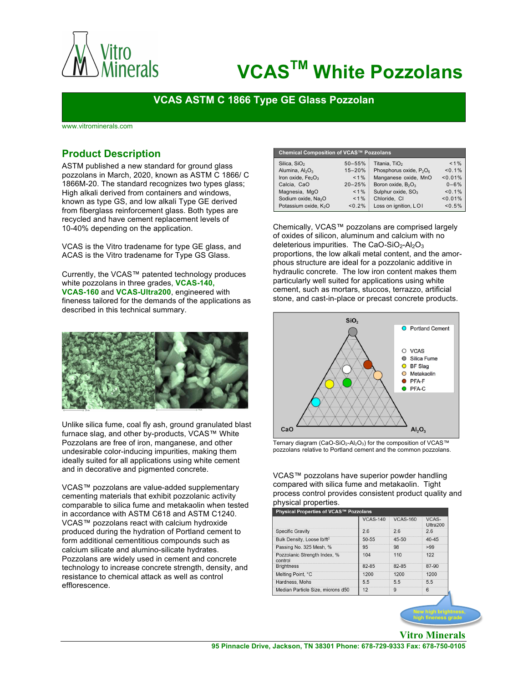

# **VCASTM White Pozzolans**

## **VCAS ASTM C 1866 Type GE Glass Pozzolan**

www.vitrominerals.com

## **Product Description**

ASTM published a new standard for ground glass pozzolans in March, 2020, known as ASTM C 1866/ C 1866M-20. The standard recognizes two types glass; High alkali derived from containers and windows, known as type GS, and low alkali Type GE derived from fiberglass reinforcement glass. Both types are recycled and have cement replacement levels of 10-40% depending on the application.

VCAS is the Vitro tradename for type GE glass, and ACAS is the Vitro tradename for Type GS Glass.

Currently, the VCAS™ patented technology produces white pozzolans in three grades, **VCAS-140, VCAS-160** and **VCAS-Ultra200**, engineered with fineness tailored for the demands of the applications as described in this technical summary.



Unlike silica fume, coal fly ash, ground granulated blast furnace slag, and other by-products, VCAS™ White Pozzolans are free of iron, manganese, and other undesirable color-inducing impurities, making them ideally suited for all applications using white cement and in decorative and pigmented concrete.

VCAS™ pozzolans are value-added supplementary cementing materials that exhibit pozzolanic activity comparable to silica fume and metakaolin when tested in accordance with ASTM C618 and ASTM C1240. VCAS™ pozzolans react with calcium hydroxide produced during the hydration of Portland cement to form additional cementitious compounds such as calcium silicate and alumino-silicate hydrates. Pozzolans are widely used in cement and concrete technology to increase concrete strength, density, and resistance to chemical attack as well as control efflorescence.

| Chemical Composition of VCAS™ Pozzolans    |            |                                                 |          |  |  |  |  |
|--------------------------------------------|------------|-------------------------------------------------|----------|--|--|--|--|
| Silica, SiO <sub>2</sub>                   | $50 - 55%$ | Titania, TiO <sub>2</sub>                       | $< 1\%$  |  |  |  |  |
| Alumina, $Al2O3$                           | $15 - 20%$ | Phosphorus oxide, P <sub>2</sub> O <sub>5</sub> | < 0.1%   |  |  |  |  |
| Iron oxide, Fe <sub>2</sub> O <sub>3</sub> | $< 1 \%$   | Manganese oxide, MnO                            | < 0.01%  |  |  |  |  |
| Calcia, CaO                                | $20 - 25%$ | Boron oxide, B <sub>2</sub> O <sub>3</sub>      | $0 - 6%$ |  |  |  |  |
| Magnesia, MgO                              | $< 1\%$    | Sulphur oxide, SO <sub>3</sub>                  | < 0.1%   |  |  |  |  |
| Sodium oxide, Na <sub>2</sub> O            | $< 1\%$    | Chloride. CI                                    | < 0.01%  |  |  |  |  |
| Potassium oxide, K <sub>2</sub> O          | < 0.2%     | Loss on ignition, LOI                           | < 0.5%   |  |  |  |  |

Chemically, VCAS™ pozzolans are comprised largely of oxides of silicon, aluminum and calcium with no deleterious impurities. The CaO-SiO<sub>2</sub>-Al<sub>2</sub>O<sub>3</sub> proportions, the low alkali metal content, and the amorphous structure are ideal for a pozzolanic additive in hydraulic concrete. The low iron content makes them particularly well suited for applications using white cement, such as mortars, stuccos, terrazzo, artificial stone, and cast-in-place or precast concrete products.



Ternary diagram (CaO-SiO<sub>2</sub>-Al<sub>2</sub>O<sub>3</sub>) for the composition of VCAS™<br>pozzolans relative to Portland cement and the common pozzolans.

VCAS™ pozzolans have superior powder handling compared with silica fume and metakaolin. Tight process control provides consistent product quality and physical properties.<br>Physical Properties of VCAS™ Pozzo

|                                         | <b>VCAS-140</b> | <b>VCAS-160</b> | VCAS-<br>Ultra200 |
|-----------------------------------------|-----------------|-----------------|-------------------|
| <b>Specific Gravity</b>                 | 26              | 26              | 26                |
| Bulk Density, Loose lb/ft <sup>2</sup>  | 50-55           | $45 - 50$       | $40 - 45$         |
| Passing No. 325 Mesh, %                 | 95              | 98              | >99               |
| Pozzolanic Strength Index, %<br>control | 104             | 110             | 122               |
| <b>Brightness</b>                       | 82-85           | 82-85           | 87-90             |
| Melting Point, °C                       | 1200            | 1200            | 1200              |
| Hardness, Mohs                          | 5.5             | 5.5             | 55                |
| Median Particle Size, microns d50       | 12              | 9               | 6                 |

**New high brightness, high fineness grade**